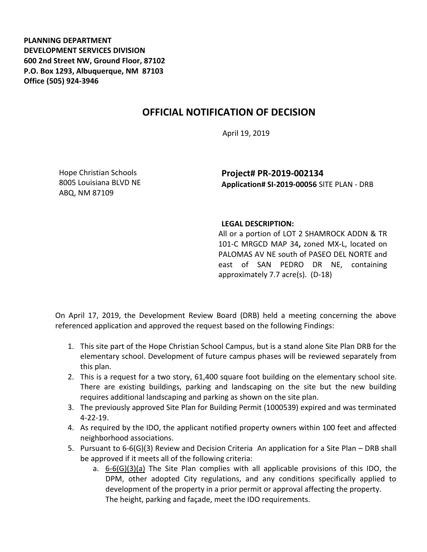**PLANNING DEPARTMENT DEVELOPMENT SERVICES DIVISION 600 2nd Street NW, Ground Floor, 87102 P.O. Box 1293, Albuquerque, NM 87103 Office (505) 924-3946** 

## **OFFICIAL NOTIFICATION OF DECISION**

April 19, 2019

Hope Christian Schools 8005 Louisiana BLVD NE ABQ, NM 87109

**Project# PR-2019-002134 Application# SI-2019-00056** SITE PLAN - DRB

## **LEGAL DESCRIPTION:**

All or a portion of LOT 2 SHAMROCK ADDN & TR 101-C MRGCD MAP 34**,** zoned MX-L, located on PALOMAS AV NE south of PASEO DEL NORTE and east of SAN PEDRO DR NE, containing approximately 7.7 acre(s). (D-18)

On April 17, 2019, the Development Review Board (DRB) held a meeting concerning the above referenced application and approved the request based on the following Findings:

- 1. This site part of the Hope Christian School Campus, but is a stand alone Site Plan DRB for the elementary school. Development of future campus phases will be reviewed separately from this plan.
- 2. This is a request for a two story, 61,400 square foot building on the elementary school site. There are existing buildings, parking and landscaping on the site but the new building requires additional landscaping and parking as shown on the site plan.
- 3. The previously approved Site Plan for Building Permit (1000539) expired and was terminated 4-22-19.
- 4. As required by the IDO, the applicant notified property owners within 100 feet and affected neighborhood associations.
- 5. Pursuant to 6-6(G)(3) Review and Decision Criteria An application for a Site Plan DRB shall be approved if it meets all of the following criteria:
	- a. 6-6(G)(3)(a) The Site Plan complies with all applicable provisions of this IDO, the DPM, other adopted City regulations, and any conditions specifically applied to development of the property in a prior permit or approval affecting the property. The height, parking and façade, meet the IDO requirements.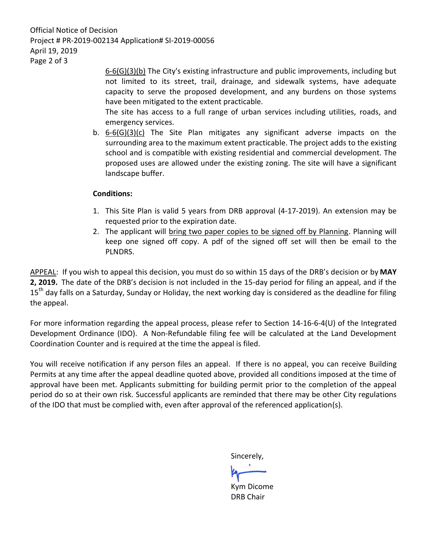Official Notice of Decision Project # PR-2019-002134 Application# SI-2019-00056 April 19, 2019 Page 2 of 3

> 6-6(G)(3)(b) The City's existing infrastructure and public improvements, including but not limited to its street, trail, drainage, and sidewalk systems, have adequate capacity to serve the proposed development, and any burdens on those systems have been mitigated to the extent practicable.

> The site has access to a full range of urban services including utilities, roads, and emergency services.

b. 6-6(G)(3)(c) The Site Plan mitigates any significant adverse impacts on the surrounding area to the maximum extent practicable. The project adds to the existing school and is compatible with existing residential and commercial development. The proposed uses are allowed under the existing zoning. The site will have a significant landscape buffer.

## **Conditions:**

- 1. This Site Plan is valid 5 years from DRB approval (4-17-2019). An extension may be requested prior to the expiration date.
- 2. The applicant will bring two paper copies to be signed off by Planning. Planning will keep one signed off copy. A pdf of the signed off set will then be email to the PLNDRS.

APPEAL: If you wish to appeal this decision, you must do so within 15 days of the DRB's decision or by **MAY 2, 2019.** The date of the DRB's decision is not included in the 15-day period for filing an appeal, and if the 15<sup>th</sup> day falls on a Saturday, Sunday or Holiday, the next working day is considered as the deadline for filing the appeal.

For more information regarding the appeal process, please refer to Section 14-16-6-4(U) of the Integrated Development Ordinance (IDO). A Non-Refundable filing fee will be calculated at the Land Development Coordination Counter and is required at the time the appeal is filed.

You will receive notification if any person files an appeal. If there is no appeal, you can receive Building Permits at any time after the appeal deadline quoted above, provided all conditions imposed at the time of approval have been met. Applicants submitting for building permit prior to the completion of the appeal period do so at their own risk. Successful applicants are reminded that there may be other City regulations of the IDO that must be complied with, even after approval of the referenced application(s).

Sincerely,

Kym Dicome DRB Chair